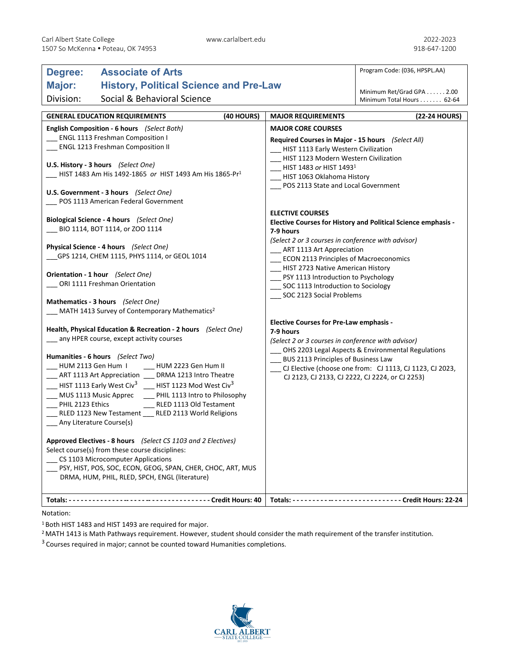| <b>Associate of Arts</b><br>Degree:                                                                                                                                                                                                                                                                                                                                                                                                                                                                                                                                                                                                                                                                                                                                                                                                                  |                                                                                                                                                                                                                                                                                                                                                                                                                                                                                                                                                                                                                                                                                                    | Program Code: (036, HPSPL.AA)                                                                                  |
|------------------------------------------------------------------------------------------------------------------------------------------------------------------------------------------------------------------------------------------------------------------------------------------------------------------------------------------------------------------------------------------------------------------------------------------------------------------------------------------------------------------------------------------------------------------------------------------------------------------------------------------------------------------------------------------------------------------------------------------------------------------------------------------------------------------------------------------------------|----------------------------------------------------------------------------------------------------------------------------------------------------------------------------------------------------------------------------------------------------------------------------------------------------------------------------------------------------------------------------------------------------------------------------------------------------------------------------------------------------------------------------------------------------------------------------------------------------------------------------------------------------------------------------------------------------|----------------------------------------------------------------------------------------------------------------|
| Major:                                                                                                                                                                                                                                                                                                                                                                                                                                                                                                                                                                                                                                                                                                                                                                                                                                               | <b>History, Political Science and Pre-Law</b>                                                                                                                                                                                                                                                                                                                                                                                                                                                                                                                                                                                                                                                      |                                                                                                                |
| Social & Behavioral Science<br>Division:                                                                                                                                                                                                                                                                                                                                                                                                                                                                                                                                                                                                                                                                                                                                                                                                             |                                                                                                                                                                                                                                                                                                                                                                                                                                                                                                                                                                                                                                                                                                    |                                                                                                                |
|                                                                                                                                                                                                                                                                                                                                                                                                                                                                                                                                                                                                                                                                                                                                                                                                                                                      |                                                                                                                                                                                                                                                                                                                                                                                                                                                                                                                                                                                                                                                                                                    | Minimum Total Hours 62-64                                                                                      |
|                                                                                                                                                                                                                                                                                                                                                                                                                                                                                                                                                                                                                                                                                                                                                                                                                                                      |                                                                                                                                                                                                                                                                                                                                                                                                                                                                                                                                                                                                                                                                                                    |                                                                                                                |
| <b>GENERAL EDUCATION REQUIREMENTS</b><br>(40 HOURS)<br>English Composition - 6 hours (Select Both)<br>ENGL 1113 Freshman Composition I<br><b>ENGL 1213 Freshman Composition II</b><br>U.S. History - 3 hours (Select One)<br>HIST 1483 Am His 1492-1865 or HIST 1493 Am His 1865-Pr <sup>1</sup><br>U.S. Government - 3 hours (Select One)<br>POS 1113 American Federal Government<br>Biological Science - 4 hours (Select One)<br>BIO 1114, BOT 1114, or ZOO 1114<br>Physical Science - 4 hours (Select One)<br>GPS 1214, CHEM 1115, PHYS 1114, or GEOL 1014<br>Orientation - 1 hour (Select One)<br>_ ORI 1111 Freshman Orientation                                                                                                                                                                                                                | <b>MAJOR REQUIREMENTS</b><br><b>MAJOR CORE COURSES</b><br>Required Courses in Major - 15 hours (Select All)<br>__ HIST 1113 Early Western Civilization<br>HIST 1123 Modern Western Civilization<br>HIST 1483 or HIST 14931<br>HIST 1063 Oklahoma History<br>POS 2113 State and Local Government<br><b>ELECTIVE COURSES</b><br><b>Elective Courses for History and Political Science emphasis -</b><br>7-9 hours<br>(Select 2 or 3 courses in conference with advisor)<br>ART 1113 Art Appreciation<br>__ ECON 2113 Principles of Macroeconomics<br>__ HIST 2723 Native American History<br>_ PSY 1113 Introduction to Psychology<br>SOC 1113 Introduction to Sociology<br>SOC 2123 Social Problems | (22-24 HOURS)                                                                                                  |
| Mathematics - 3 hours (Select One)<br>MATH 1413 Survey of Contemporary Mathematics <sup>2</sup>                                                                                                                                                                                                                                                                                                                                                                                                                                                                                                                                                                                                                                                                                                                                                      |                                                                                                                                                                                                                                                                                                                                                                                                                                                                                                                                                                                                                                                                                                    |                                                                                                                |
| Health, Physical Education & Recreation - 2 hours (Select One)<br>any HPER course, except activity courses<br>Humanities - 6 hours (Select Two)<br>HUM 2113 Gen Hum I<br>HUM 2223 Gen Hum II<br>___ ART 1113 Art Appreciation ___ DRMA 1213 Intro Theatre<br>$\frac{1}{2}$ HIST 1113 Early West Civ <sup>3</sup> $\frac{1}{2}$ HIST 1123 Mod West Civ <sup>3</sup><br>MUS 1113 Music Apprec _____ PHIL 1113 Intro to Philosophy<br>PHIL 2123 Ethics<br>__ RLED 1113 Old Testament<br>RLED 1123 New Testament ___ RLED 2113 World Religions<br>__ Any Literature Course(s)<br>Approved Electives - 8 hours (Select CS 1103 and 2 Electives)<br>Select course(s) from these course disciplines:<br>CS 1103 Microcomputer Applications<br>PSY, HIST, POS, SOC, ECON, GEOG, SPAN, CHER, CHOC, ART, MUS<br>DRMA, HUM, PHIL, RLED, SPCH, ENGL (literature) | <b>Elective Courses for Pre-Law emphasis -</b><br>7-9 hours<br>(Select 2 or 3 courses in conference with advisor)<br>__ BUS 2113 Principles of Business Law<br>CJ 2123, CJ 2133, CJ 2222, CJ 2224, or CJ 2253)                                                                                                                                                                                                                                                                                                                                                                                                                                                                                     | OHS 2203 Legal Aspects & Environmental Regulations<br>CJ Elective (choose one from: CJ 1113, CJ 1123, CJ 2023, |
|                                                                                                                                                                                                                                                                                                                                                                                                                                                                                                                                                                                                                                                                                                                                                                                                                                                      |                                                                                                                                                                                                                                                                                                                                                                                                                                                                                                                                                                                                                                                                                                    |                                                                                                                |

Notation:

1 Both HIST 1483 and HIST 1493 are required for major.

<sup>2</sup> MATH 1413 is Math Pathways requirement. However, student should consider the math requirement of the transfer institution.

 $3$  Courses required in major; cannot be counted toward Humanities completions.